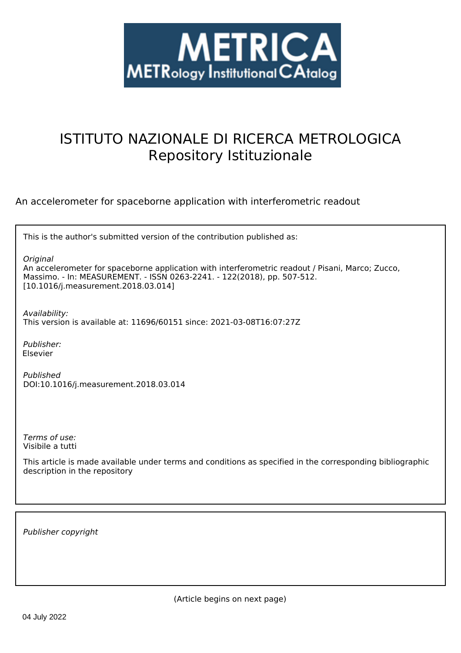

# ISTITUTO NAZIONALE DI RICERCA METROLOGICA Repository Istituzionale

An accelerometer for spaceborne application with interferometric readout

| This is the author's submitted version of the contribution published as:                                                                                                                                                       |
|--------------------------------------------------------------------------------------------------------------------------------------------------------------------------------------------------------------------------------|
| Original<br>An accelerometer for spaceborne application with interferometric readout / Pisani, Marco; Zucco,<br>Massimo. - In: MEASUREMENT. - ISSN 0263-2241. - 122(2018), pp. 507-512.<br>[10.1016/j.measurement.2018.03.014] |
| Availability:<br>This version is available at: 11696/60151 since: 2021-03-08T16:07:27Z                                                                                                                                         |
| Publisher:<br>Elsevier                                                                                                                                                                                                         |
| Published<br>DOI:10.1016/j.measurement.2018.03.014                                                                                                                                                                             |
|                                                                                                                                                                                                                                |
| Terms of use:<br>Visibile a tutti                                                                                                                                                                                              |
| This article is made available under terms and conditions as specified in the corresponding bibliographic<br>description in the repository                                                                                     |
|                                                                                                                                                                                                                                |

*Publisher copyright*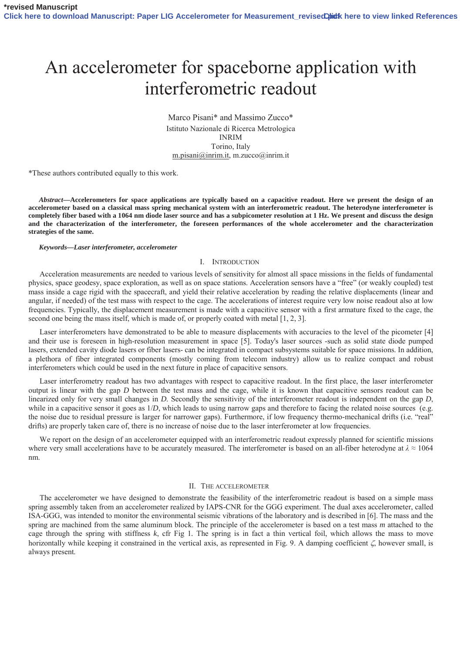# An accelerometer for spaceborne application with interferometric readout

Marco Pisani\* and Massimo Zucco\* Istituto Nazionale di Ricerca Metrologica INRIM Torino, Italy m.pisani@inrim.it, m.zucco@inrim.it

\*These authors contributed equally to this work.

*Abstract***—Accelerometers for space applications are typically based on a capacitive readout. Here we present the design of an accelerometer based on a classical mass spring mechanical system with an interferometric readout. The heterodyne interferometer is completely fiber based with a 1064 nm diode laser source and has a subpicometer resolution at 1 Hz. We present and discuss the design and the characterization of the interferometer, the foreseen performances of the whole accelerometer and the characterization strategies of the same.**

#### *Keywords—Laser interferometer, accelerometer*

# I. INTRODUCTION

Acceleration measurements are needed to various levels of sensitivity for almost all space missions in the fields of fundamental physics, space geodesy, space exploration, as well as on space stations. Acceleration sensors have a "free" (or weakly coupled) test mass inside a cage rigid with the spacecraft, and yield their relative acceleration by reading the relative displacements (linear and angular, if needed) of the test mass with respect to the cage. The accelerations of interest require very low noise readout also at low frequencies. Typically, the displacement measurement is made with a capacitive sensor with a first armature fixed to the cage, the second one being the mass itself, which is made of, or properly coated with metal [1, 2, 3].

Laser interferometers have demonstrated to be able to measure displacements with accuracies to the level of the picometer [4] and their use is foreseen in high-resolution measurement in space [5]. Today's laser sources -such as solid state diode pumped lasers, extended cavity diode lasers or fiber lasers- can be integrated in compact subsystems suitable for space missions. In addition, a plethora of fiber integrated components (mostly coming from telecom industry) allow us to realize compact and robust interferometers which could be used in the next future in place of capacitive sensors.

Laser interferometry readout has two advantages with respect to capacitive readout. In the first place, the laser interferometer output is linear with the gap *D* between the test mass and the cage, while it is known that capacitive sensors readout can be linearized only for very small changes in *D*. Secondly the sensitivity of the interferometer readout is independent on the gap *D*, while in a capacitive sensor it goes as  $1/D$ , which leads to using narrow gaps and therefore to facing the related noise sources (e.g. the noise due to residual pressure is larger for narrower gaps). Furthermore, if low frequency thermo-mechanical drifts (i.e. "real" drifts) are properly taken care of, there is no increase of noise due to the laser interferometer at low frequencies.

We report on the design of an accelerometer equipped with an interferometric readout expressly planned for scientific missions where very small accelerations have to be accurately measured. The interferometer is based on an all-fiber heterodyne at  $\lambda \approx 1064$ nm.

#### II. THE ACCELEROMETER

The accelerometer we have designed to demonstrate the feasibility of the interferometric readout is based on a simple mass spring assembly taken from an accelerometer realized by IAPS-CNR for the GGG experiment. The dual axes accelerometer, called ISA-GGG, was intended to monitor the environmental seismic vibrations of the laboratory and is described in [6]. The mass and the spring are machined from the same aluminum block. The principle of the accelerometer is based on a test mass *m* attached to the cage through the spring with stiffness *k*, cfr Fig 1*.* The spring is in fact a thin vertical foil, which allows the mass to move horizontally while keeping it constrained in the vertical axis, as represented in Fig. 9. A damping coefficient  $\zeta$ , however small, is always present.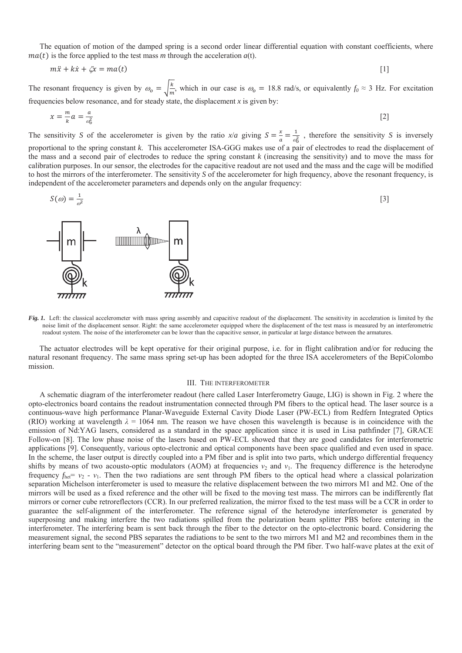The equation of motion of the damped spring is a second order linear differential equation with constant coefficients, where  $ma(t)$  is the force applied to the test mass *m* through the acceleration  $a(t)$ .

$$
m\ddot{x} + k\dot{x} + \zeta x = ma(t) \tag{1}
$$

The resonant frequency is given by  $\omega_o = \sqrt{\frac{k}{m}}$ , which in our case is  $\omega_o = 18.8$  rad/s, or equivalently  $f_0 \approx 3$  Hz. For excitation frequencies below resonance, and for steady state, the displacement  $x$  is given by:

$$
x = \frac{m}{k}a = \frac{a}{\omega_0^2} \tag{2}
$$

The sensitivity *S* of the accelerometer is given by the ratio  $x/a$  giving  $S = \frac{x}{a} = \frac{1}{\omega_0^2}$ , therefore the sensitivity *S* is inversely proportional to the spring constant *k*. This accelerometer ISA-GGG makes use of a pair of electrodes to read the displacement of the mass and a second pair of electrodes to reduce the spring constant *k* (increasing the sensitivity) and to move the mass for calibration purposes. In our sensor, the electrodes for the capacitive readout are not used and the mass and the cage will be modified to host the mirrors of the interferometer. The sensitivity *S* of the accelerometer for high frequency, above the resonant frequency, is independent of the accelerometer parameters and depends only on the angular frequency:

$$
S(\omega) = \frac{1}{\omega^2} \tag{3}
$$



*Fig. 1.* Left: the classical accelerometer with mass spring assembly and capacitive readout of the displacement. The sensitivity in acceleration is limited by the noise limit of the displacement sensor. Right: the same accelerometer equipped where the displacement of the test mass is measured by an interferometric readout system. The noise of the interferometer can be lower than the capacitive sensor, in particular at large distance between the armatures.

The actuator electrodes will be kept operative for their original purpose, i.e. for in flight calibration and/or for reducing the natural resonant frequency. The same mass spring set-up has been adopted for the three ISA accelerometers of the BepiColombo mission.

# III. THE INTERFEROMETER

A schematic diagram of the interferometer readout (here called Laser Interferometry Gauge, LIG) is shown in Fig. 2 where the opto-electronics board contains the readout instrumentation connected through PM fibers to the optical head. The laser source is a continuous-wave high performance Planar-Waveguide External Cavity Diode Laser (PW-ECL) from Redfern Integrated Optics (RIO) working at wavelength  $\lambda = 1064$  nm. The reason we have chosen this wavelength is because is in coincidence with the emission of Nd:YAG lasers, considered as a standard in the space application since it is used in Lisa pathfinder [7], GRACE Follow-on [8]. The low phase noise of the lasers based on PW-ECL showed that they are good candidates for interferometric applications [9]. Consequently, various opto-electronic and optical components have been space qualified and even used in space. In the scheme, the laser output is directly coupled into a PM fiber and is split into two parts, which undergo differential frequency shifts by means of two acousto-optic modulators (AOM) at frequencies  $v_2$  and  $v_1$ . The frequency difference is the heterodyne frequency  $f_{\text{het}} = v_2 - v_1$ . Then the two radiations are sent through PM fibers to the optical head where a classical polarization separation Michelson interferometer is used to measure the relative displacement between the two mirrors M1 and M2. One of the mirrors will be used as a fixed reference and the other will be fixed to the moving test mass. The mirrors can be indifferently flat mirrors or corner cube retroreflectors (CCR). In our preferred realization, the mirror fixed to the test mass will be a CCR in order to guarantee the self-alignment of the interferometer. The reference signal of the heterodyne interferometer is generated by superposing and making interfere the two radiations spilled from the polarization beam splitter PBS before entering in the interferometer. The interfering beam is sent back through the fiber to the detector on the opto-electronic board. Considering the measurement signal, the second PBS separates the radiations to be sent to the two mirrors M1 and M2 and recombines them in the interfering beam sent to the "measurement" detector on the optical board through the PM fiber. Two half-wave plates at the exit of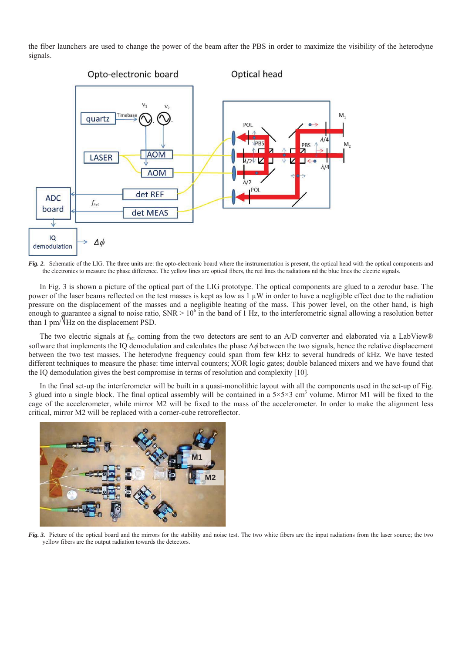the fiber launchers are used to change the power of the beam after the PBS in order to maximize the visibility of the heterodyne signals.



*Fig. 2.* Schematic of the LIG. The three units are: the opto-electronic board where the instrumentation is present, the optical head with the optical components and the electronics to measure the phase difference. The yellow lines are optical fibers, the red lines the radiations nd the blue lines the electric signals.

In Fig. 3 is shown a picture of the optical part of the LIG prototype. The optical components are glued to a zerodur base. The power of the laser beams reflected on the test masses is kept as low as 1 μW in order to have a negligible effect due to the radiation pressure on the displacement of the masses and a negligible heating of the mass. This power level, on the other hand, is high enough to guarantee a signal to noise ratio,  $SNR > 10^6$  in the band of 1 Hz, to the interferometric signal allowing a resolution better than 1 pm/ $V$ Hz on the displacement PSD.

The two electric signals at *f*<sub>het</sub> coming from the two detectors are sent to an A/D converter and elaborated via a LabView® software that implements the IO demodulation and calculates the phase  $\Delta\phi$  between the two signals, hence the relative displacement between the two test masses. The heterodyne frequency could span from few kHz to several hundreds of kHz. We have tested different techniques to measure the phase: time interval counters; XOR logic gates; double balanced mixers and we have found that the IQ demodulation gives the best compromise in terms of resolution and complexity [10].

In the final set-up the interferometer will be built in a quasi-monolithic layout with all the components used in the set-up of Fig. 3 glued into a single block. The final optical assembly will be contained in a  $5\times5\times3$  cm<sup>3</sup> volume. Mirror M1 will be fixed to the cage of the accelerometer, while mirror M2 will be fixed to the mass of the accelerometer. In order to make the alignment less critical, mirror M2 will be replaced with a corner-cube retroreflector.



*Fig.* 3. Picture of the optical board and the mirrors for the stability and noise test. The two white fibers are the input radiations from the laser source; the two yellow fibers are the output radiation towards the detectors.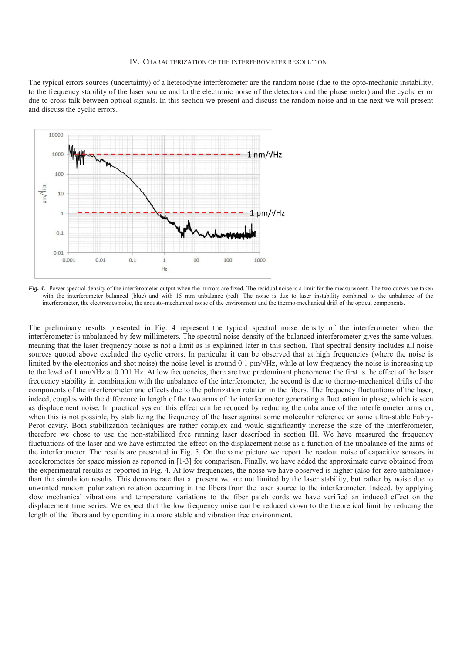#### IV. CHARACTERIZATION OF THE INTERFEROMETER RESOLUTION

The typical errors sources (uncertainty) of a heterodyne interferometer are the random noise (due to the opto-mechanic instability, to the frequency stability of the laser source and to the electronic noise of the detectors and the phase meter) and the cyclic error due to cross-talk between optical signals. In this section we present and discuss the random noise and in the next we will present and discuss the cyclic errors.



*Fig. 4.* Power spectral density of the interferometer output when the mirrors are fixed. The residual noise is a limit for the measurement. The two curves are taken with the interferometer balanced (blue) and with 15 mm unbalance (red). The noise is due to laser instability combined to the unbalance of the interferometer, the electronics noise, the acousto-mechanical noise of the environment and the thermo-mechanical drift of the optical components.

The preliminary results presented in Fig. 4 represent the typical spectral noise density of the interferometer when the interferometer is unbalanced by few millimeters. The spectral noise density of the balanced interferometer gives the same values, meaning that the laser frequency noise is not a limit as is explained later in this section. That spectral density includes all noise sources quoted above excluded the cyclic errors. In particular it can be observed that at high frequencies (where the noise is limited by the electronics and shot noise) the noise level is around 0.1  $pm/\sqrt{Hz}$ , while at low frequency the noise is increasing up to the level of 1 nm/ $\sqrt{Hz}$  at 0.001 Hz. At low frequencies, there are two predominant phenomena: the first is the effect of the laser frequency stability in combination with the unbalance of the interferometer, the second is due to thermo-mechanical drifts of the components of the interferometer and effects due to the polarization rotation in the fibers. The frequency fluctuations of the laser, indeed, couples with the difference in length of the two arms of the interferometer generating a fluctuation in phase, which is seen as displacement noise. In practical system this effect can be reduced by reducing the unbalance of the interferometer arms or, when this is not possible, by stabilizing the frequency of the laser against some molecular reference or some ultra-stable Fabry-Perot cavity. Both stabilization techniques are rather complex and would significantly increase the size of the interferometer, therefore we chose to use the non-stabilized free running laser described in section III. We have measured the frequency fluctuations of the laser and we have estimated the effect on the displacement noise as a function of the unbalance of the arms of the interferometer. The results are presented in Fig. 5. On the same picture we report the readout noise of capacitive sensors in accelerometers for space mission as reported in [1-3] for comparison. Finally, we have added the approximate curve obtained from the experimental results as reported in Fig. 4. At low frequencies, the noise we have observed is higher (also for zero unbalance) than the simulation results. This demonstrate that at present we are not limited by the laser stability, but rather by noise due to unwanted random polarization rotation occurring in the fibers from the laser source to the interferometer. Indeed, by applying slow mechanical vibrations and temperature variations to the fiber patch cords we have verified an induced effect on the displacement time series. We expect that the low frequency noise can be reduced down to the theoretical limit by reducing the length of the fibers and by operating in a more stable and vibration free environment.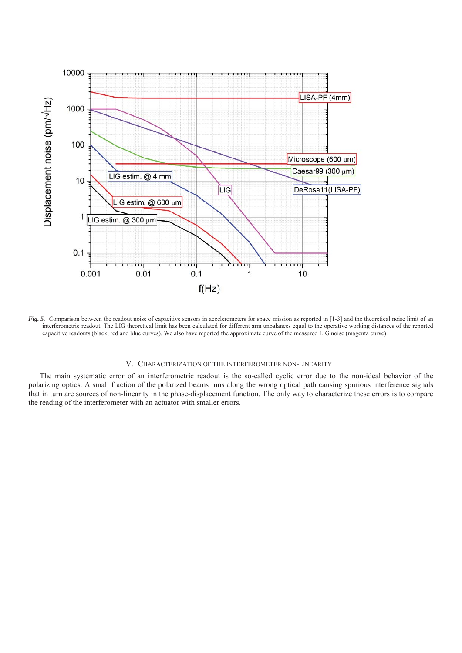

*Fig. 5.* Comparison between the readout noise of capacitive sensors in accelerometers for space mission as reported in [1-3] and the theoretical noise limit of an interferometric readout. The LIG theoretical limit has been calculated for different arm unbalances equal to the operative working distances of the reported capacitive readouts (black, red and blue curves). We also have reported the approximate curve of the measured LIG noise (magenta curve).

# V. CHARACTERIZATION OF THE INTERFEROMETER NON-LINEARITY

The main systematic error of an interferometric readout is the so-called cyclic error due to the non-ideal behavior of the polarizing optics. A small fraction of the polarized beams runs along the wrong optical path causing spurious interference signals that in turn are sources of non-linearity in the phase-displacement function. The only way to characterize these errors is to compare the reading of the interferometer with an actuator with smaller errors.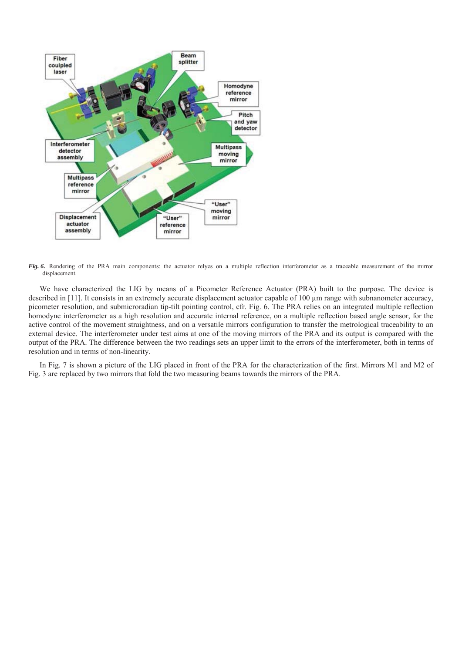

*Fig. 6.* Rendering of the PRA main components: the actuator relyes on a multiple reflection interferometer as a traceable measurement of the mirror displacement.

We have characterized the LIG by means of a Picometer Reference Actuator (PRA) built to the purpose. The device is described in [11]. It consists in an extremely accurate displacement actuator capable of 100 μm range with subnanometer accuracy, picometer resolution, and submicroradian tip-tilt pointing control, cfr. Fig. 6. The PRA relies on an integrated multiple reflection homodyne interferometer as a high resolution and accurate internal reference, on a multiple reflection based angle sensor, for the active control of the movement straightness, and on a versatile mirrors configuration to transfer the metrological traceability to an external device. The interferometer under test aims at one of the moving mirrors of the PRA and its output is compared with the output of the PRA. The difference between the two readings sets an upper limit to the errors of the interferometer, both in terms of resolution and in terms of non-linearity.

In Fig. 7 is shown a picture of the LIG placed in front of the PRA for the characterization of the first. Mirrors M1 and M2 of Fig. 3 are replaced by two mirrors that fold the two measuring beams towards the mirrors of the PRA.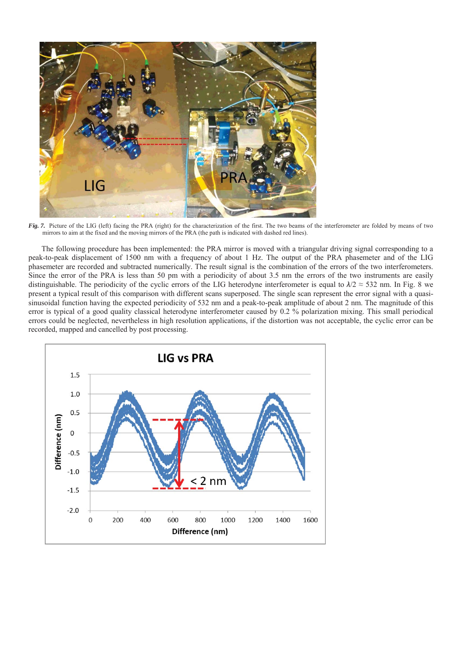

Fig. 7. Picture of the LIG (left) facing the PRA (right) for the characterization of the first. The two beams of the interferometer are folded by means of two mirrors to aim at the fixed and the moving mirrors of the PRA (the path is indicated with dashed red lines).

The following procedure has been implemented: the PRA mirror is moved with a triangular driving signal corresponding to a peak-to-peak displacement of 1500 nm with a frequency of about 1 Hz. The output of the PRA phasemeter and of the LIG phasemeter are recorded and subtracted numerically. The result signal is the combination of the errors of the two interferometers. Since the error of the PRA is less than 50 pm with a periodicity of about 3.5 nm the errors of the two instruments are easily distinguishable. The periodicity of the cyclic errors of the LIG heterodyne interferometer is equal to  $\lambda/2 \approx 532$  nm. In Fig. 8 we present a typical result of this comparison with different scans superposed. The single scan represent the error signal with a quasisinusoidal function having the expected periodicity of 532 nm and a peak-to-peak amplitude of about 2 nm. The magnitude of this error is typical of a good quality classical heterodyne interferometer caused by 0.2 % polarization mixing. This small periodical errors could be neglected, nevertheless in high resolution applications, if the distortion was not acceptable, the cyclic error can be recorded, mapped and cancelled by post processing.

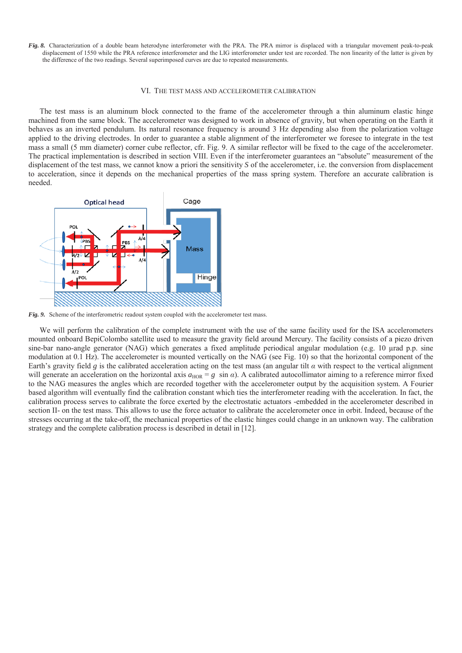*Fig. 8.* Characterization of a double beam heterodyne interferometer with the PRA. The PRA mirror is displaced with a triangular movement peak-to-peak displacement of 1550 while the PRA reference interferometer and the LIG interferometer under test are recorded. The non linearity of the latter is given by the difference of the two readings. Several superimposed curves are due to repeated measurements.

# VI. THE TEST MASS AND ACCELEROMETER CALIBRATION

The test mass is an aluminum block connected to the frame of the accelerometer through a thin aluminum elastic hinge machined from the same block. The accelerometer was designed to work in absence of gravity, but when operating on the Earth it behaves as an inverted pendulum. Its natural resonance frequency is around 3 Hz depending also from the polarization voltage applied to the driving electrodes. In order to guarantee a stable alignment of the interferometer we foresee to integrate in the test mass a small (5 mm diameter) corner cube reflector, cfr. Fig. 9. A similar reflector will be fixed to the cage of the accelerometer. The practical implementation is described in section VIII. Even if the interferometer guarantees an "absolute" measurement of the displacement of the test mass, we cannot know a priori the sensitivity *S* of the accelerometer, i.e. the conversion from displacement to acceleration, since it depends on the mechanical properties of the mass spring system. Therefore an accurate calibration is needed.



*Fig. 9.* Scheme of the interferometric readout system coupled with the accelerometer test mass.

We will perform the calibration of the complete instrument with the use of the same facility used for the ISA accelerometers mounted onboard BepiColombo satellite used to measure the gravity field around Mercury. The facility consists of a piezo driven sine-bar nano-angle generator (NAG) which generates a fixed amplitude periodical angular modulation (e.g. 10 μrad p.p. sine modulation at 0.1 Hz). The accelerometer is mounted vertically on the NAG (see Fig. 10) so that the horizontal component of the Earth's gravity field *g* is the calibrated acceleration acting on the test mass (an angular tilt  $\alpha$  with respect to the vertical alignment will generate an acceleration on the horizontal axis  $a_{\text{HOR}} = g \sin \alpha$ ). A calibrated autocollimator aiming to a reference mirror fixed to the NAG measures the angles which are recorded together with the accelerometer output by the acquisition system. A Fourier based algorithm will eventually find the calibration constant which ties the interferometer reading with the acceleration. In fact, the calibration process serves to calibrate the force exerted by the electrostatic actuators -embedded in the accelerometer described in section II- on the test mass. This allows to use the force actuator to calibrate the accelerometer once in orbit. Indeed, because of the stresses occurring at the take-off, the mechanical properties of the elastic hinges could change in an unknown way. The calibration strategy and the complete calibration process is described in detail in [12].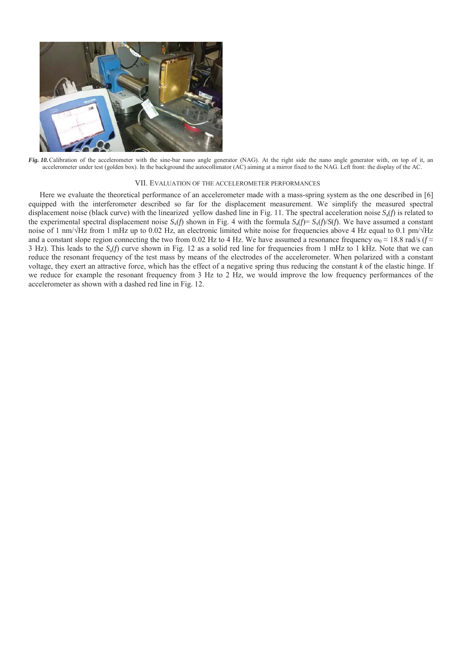

*Fig. 10.* Calibration of the accelerometer with the sine-bar nano angle generator (NAG). At the right side the nano angle generator with, on top of it, an accelerometer under test (golden box). In the background the autocollimator (AC) aiming at a mirror fixed to the NAG. Left front: the display of the AC.

### VII. EVALUATION OF THE ACCELEROMETER PERFORMANCES

Here we evaluate the theoretical performance of an accelerometer made with a mass-spring system as the one described in [6] equipped with the interferometer described so far for the displacement measurement. We simplify the measured spectral displacement noise (black curve) with the linearized yellow dashed line in Fig. 11. The spectral acceleration noise *S*a(*f*) is related to the experimental spectral displacement noise  $S_x(f)$  shown in Fig. 4 with the formula  $S_a(f) = S_x(f)/S(f)$ . We have assumed a constant noise of 1 nm/ $\sqrt{Hz}$  from 1 mHz up to 0.02 Hz, an electronic limited white noise for frequencies above 4 Hz equal to 0.1 pm/ $\sqrt{Hz}$ and a constant slope region connecting the two from 0.02 Hz to 4 Hz. We have assumed a resonance frequency  $\omega_0 \approx 18.8$  rad/s ( $f \approx$ 3 Hz). This leads to the *S*a(*f*) curve shown in Fig. 12 as a solid red line for frequencies from 1 mHz to 1 kHz. Note that we can reduce the resonant frequency of the test mass by means of the electrodes of the accelerometer. When polarized with a constant voltage, they exert an attractive force, which has the effect of a negative spring thus reducing the constant *k* of the elastic hinge. If we reduce for example the resonant frequency from 3 Hz to 2 Hz, we would improve the low frequency performances of the accelerometer as shown with a dashed red line in Fig. 12.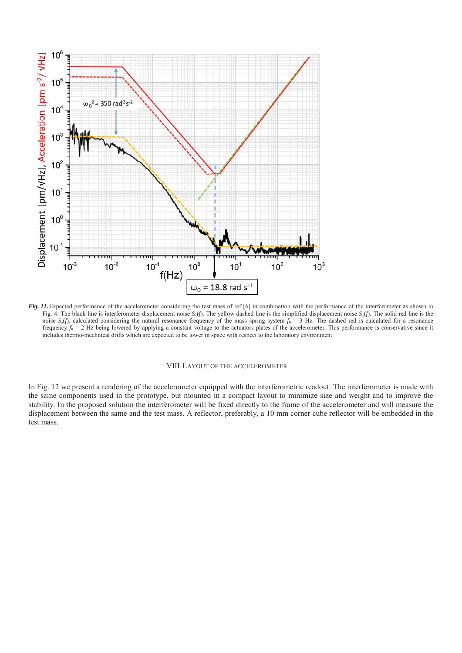

*Fig. 11.* Expected performance of the accelerometer considering the test mass of ref [6] in combination with the performance of the interferometer as shown in Fig. 4. The black line is interferometer displacement noise  $S_x(f)$ . The yellow dashed line is the simplified displacement noise  $S_x(f)$ . The solid red line is the noise  $S_a(f)$ . calculated considering the natural resonance frequency of the mass spring system  $f_0 = 3$  Hz. The dashed red is calculated for a resonance frequency  $f_0 = 2$  Hz being lowered by applying a constant voltage to the actuators plates of the accelerometer. This performance is conservative since it includes thermo-mechnical drifts which are expected to be lower in space with respect to the laboratory environment.

# VIII.LAYOUT OF THE ACCELEROMETER

In Fig. 12 we present a rendering of the accelerometer equipped with the interferometric readout. The interferometer is made with the same components used in the prototype, but mounted in a compact layout to minimize size and weight and to improve the stability. In the proposed solution the interferometer will be fixed directly to the frame of the accelerometer and will measure the displacement between the same and the test mass. A reflector, preferably, a 10 mm corner cube reflector will be embedded in the test mass.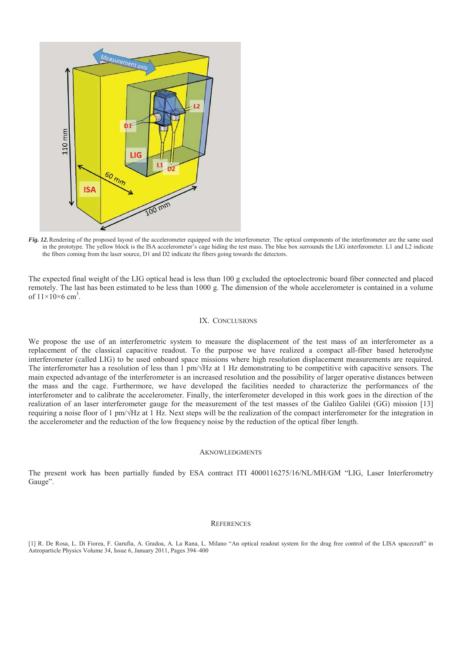

*Fig. 12.*Rendering of the proposed layout of the accelerometer equipped with the interferometer. The optical components of the interferometer are the same used in the prototype. The yellow block is the ISA accelerometer's cage hiding the test mass. The blue box surrounds the LIG interferometer. L1 and L2 indicate the fibers coming from the laser source, D1 and D2 indicate the fibers going towards the detectors.

The expected final weight of the LIG optical head is less than 100 g excluded the optoelectronic board fiber connected and placed remotely. The last has been estimated to be less than 1000 g. The dimension of the whole accelerometer is contained in a volume of  $11\times10\times6$  cm<sup>3</sup>.

# IX. CONCLUSIONS

We propose the use of an interferometric system to measure the displacement of the test mass of an interferometer as a replacement of the classical capacitive readout. To the purpose we have realized a compact all-fiber based heterodyne interferometer (called LIG) to be used onboard space missions where high resolution displacement measurements are required. The interferometer has a resolution of less than 1  $pm/\sqrt{Hz}$  at 1 Hz demonstrating to be competitive with capacitive sensors. The main expected advantage of the interferometer is an increased resolution and the possibility of larger operative distances between the mass and the cage. Furthermore, we have developed the facilities needed to characterize the performances of the interferometer and to calibrate the accelerometer. Finally, the interferometer developed in this work goes in the direction of the realization of an laser interferometer gauge for the measurement of the test masses of the Galileo Galilei (GG) mission [13] requiring a noise floor of 1 pm/ $\sqrt{Hz}$  at 1 Hz. Next steps will be the realization of the compact interferometer for the integration in the accelerometer and the reduction of the low frequency noise by the reduction of the optical fiber length.

# **AKNOWLEDGMENTS**

The present work has been partially funded by ESA contract ITI 4000116275/16/NL/MH/GM "LIG, Laser Interferometry Gauge".

# **REFERENCES**

[1] R. De Rosa, L. Di Fiorea, F. Garufia, A. Gradoa, A. La Rana, L. Milano "An optical readout system for the drag free control of the LISA spacecraft" in Astroparticle Physics Volume 34, Issue 6, January 2011, Pages 394–400